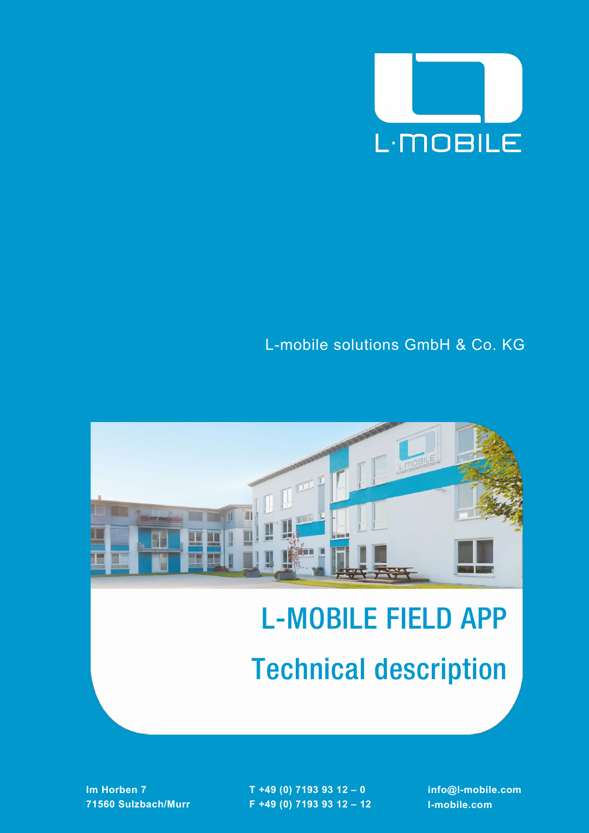

## L-mobile solutions GmbH & Co. KG



# L-MOBILE FIELD APP Technical description

**Im Horben 7 71560 Sulzbach/Murr** **T +49 (0) 7193 93 12 – 0 F +49 (0) 7193 93 12 – 12** **info@l-mobile.com l-mobile.com**